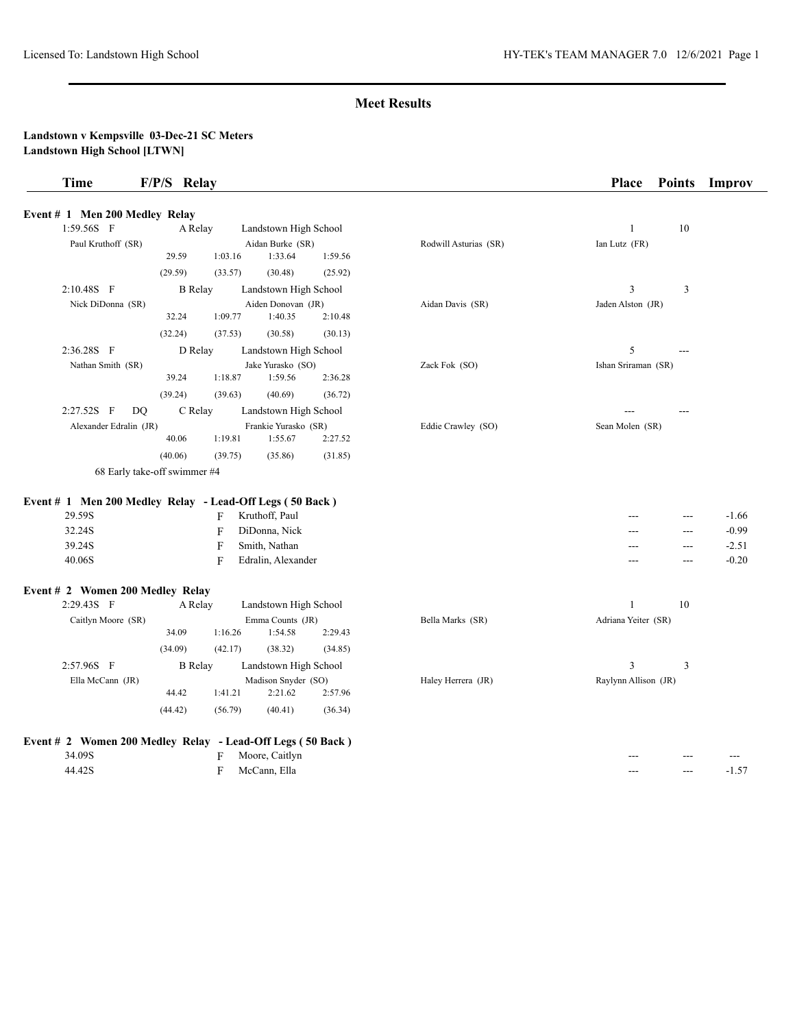| Time                                  | F/P/S Relay | Place | <b>Points</b><br><b>Improv</b> |
|---------------------------------------|-------------|-------|--------------------------------|
| <b>Event # 1 Men 200 Medley Relay</b> |             |       |                                |

| 1:59.56S F                                                 | A Relay<br>Landstown High School |             |                                 |         |                       | $\mathbf{1}$         | 10  |         |
|------------------------------------------------------------|----------------------------------|-------------|---------------------------------|---------|-----------------------|----------------------|-----|---------|
| Paul Kruthoff (SR)                                         |                                  |             | Aidan Burke (SR)                |         | Rodwill Asturias (SR) | Ian Lutz (FR)        |     |         |
|                                                            | 29.59                            | 1:03.16     | 1:33.64                         | 1:59.56 |                       |                      |     |         |
|                                                            | (29.59)                          | (33.57)     | (30.48)                         | (25.92) |                       |                      |     |         |
| 2:10.48S F                                                 | <b>B</b> Relay                   |             | Landstown High School           |         |                       | 3                    | 3   |         |
| Nick DiDonna (SR)                                          |                                  |             | Aiden Donovan (JR)              |         | Aidan Davis (SR)      | Jaden Alston (JR)    |     |         |
|                                                            | 32.24                            | 1:09.77     | 1:40.35                         | 2:10.48 |                       |                      |     |         |
|                                                            | (32.24)                          | (37.53)     | (30.58)                         | (30.13) |                       |                      |     |         |
| 2:36.28S F                                                 | D Relay                          |             | Landstown High School           |         |                       | 5                    |     |         |
| Nathan Smith (SR)                                          | 39.24                            | 1:18.87     | Jake Yurasko (SO)<br>1:59.56    | 2:36.28 | Zack Fok (SO)         | Ishan Sriraman (SR)  |     |         |
|                                                            | (39.24)                          | (39.63)     | (40.69)                         | (36.72) |                       |                      |     |         |
| 2:27.52S F<br>DQ                                           | C Relay                          |             | Landstown High School           |         |                       |                      |     |         |
| Alexander Edralin (JR)                                     | 40.06                            | 1:19.81     | Frankie Yurasko (SR)<br>1:55.67 | 2:27.52 | Eddie Crawley (SO)    | Sean Molen (SR)      |     |         |
|                                                            | (40.06)                          | (39.75)     | (35.86)                         | (31.85) |                       |                      |     |         |
| 68 Early take-off swimmer #4                               |                                  |             |                                 |         |                       |                      |     |         |
|                                                            |                                  |             |                                 |         |                       |                      |     |         |
| Event # 1 Men 200 Medley Relay - Lead-Off Legs (50 Back)   |                                  |             |                                 |         |                       |                      |     |         |
| 29.59S                                                     |                                  | F           | Kruthoff, Paul                  |         |                       |                      | --- | $-1.66$ |
| 32.24S                                                     |                                  | F           | DiDonna, Nick                   |         |                       |                      | --- | $-0.99$ |
| 39.24S                                                     |                                  | $\mathbf F$ | Smith, Nathan                   |         |                       | ---                  | --- | $-2.51$ |
| 40.06S                                                     |                                  | $\mathbf F$ | Edralin, Alexander              |         |                       | ---                  | --- | $-0.20$ |
|                                                            |                                  |             |                                 |         |                       |                      |     |         |
| Event # 2 Women 200 Medley Relay                           |                                  |             |                                 |         |                       |                      |     |         |
| 2:29.43S F                                                 | A Relay                          |             | Landstown High School           |         |                       | 1                    | 10  |         |
| Caitlyn Moore (SR)                                         | 34.09                            | 1:16.26     | Emma Counts (JR)<br>1:54.58     | 2:29.43 | Bella Marks (SR)      | Adriana Yeiter (SR)  |     |         |
|                                                            | (34.09)                          | (42.17)     | (38.32)                         | (34.85) |                       |                      |     |         |
| 2:57.96S F                                                 | <b>B</b> Relay                   |             | Landstown High School           |         |                       | 3                    | 3   |         |
| Ella McCann (JR)                                           |                                  |             | Madison Snyder (SO)             |         | Haley Herrera (JR)    | Raylynn Allison (JR) |     |         |
|                                                            | 44.42                            | 1:41.21     | 2:21.62                         | 2:57.96 |                       |                      |     |         |
|                                                            | (44.42)                          | (56.79)     | (40.41)                         | (36.34) |                       |                      |     |         |
| Event # 2 Women 200 Medley Relay - Lead-Off Legs (50 Back) |                                  |             |                                 |         |                       |                      |     |         |
| 34.09S                                                     |                                  | F           | Moore, Caitlyn                  |         |                       |                      |     |         |
| 44.42S                                                     |                                  | F           | McCann, Ella                    |         |                       | ---                  | --- | $-1.57$ |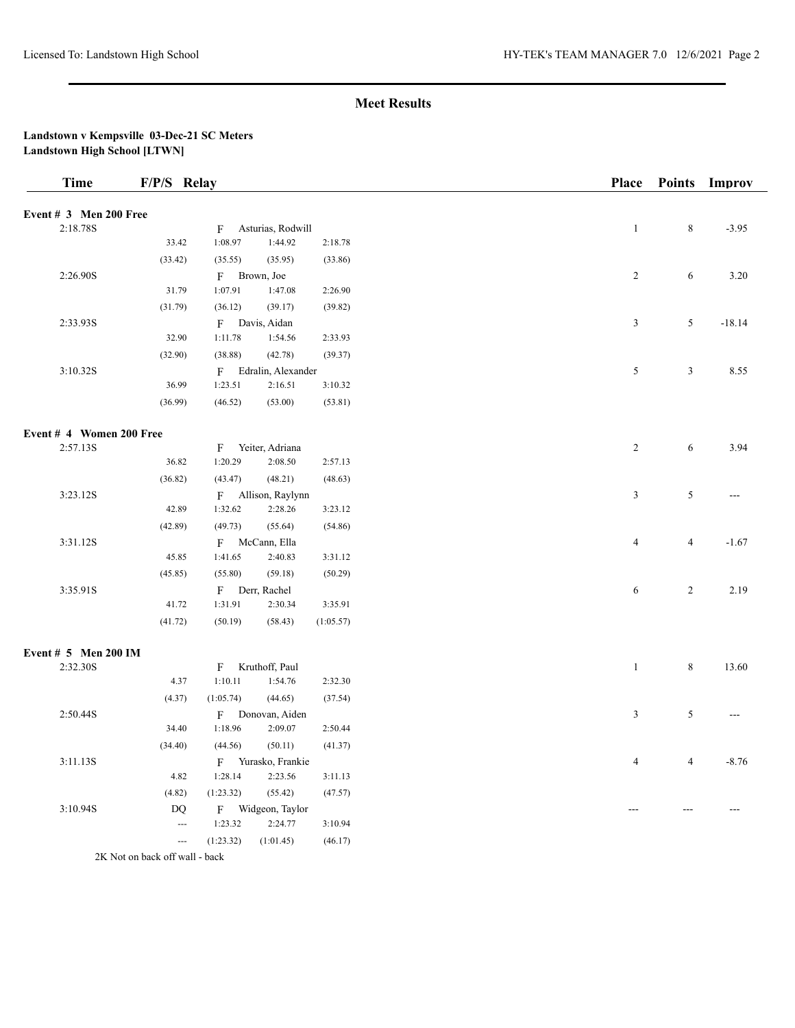## **Landstown v Kempsville 03-Dec-21 SC Meters Landstown High School [LTWN]**

| <b>Time</b>              | F/P/S Relay              |           |                      |           | <b>Place</b>   | <b>Points</b>  | <b>Improv</b>  |
|--------------------------|--------------------------|-----------|----------------------|-----------|----------------|----------------|----------------|
| Event $# 3$ Men 200 Free |                          |           |                      |           |                |                |                |
| 2:18.78S                 |                          | F         | Asturias, Rodwill    |           | $\,1$          | $\,8\,$        | $-3.95$        |
|                          | 33.42                    | 1:08.97   | 1:44.92              | 2:18.78   |                |                |                |
|                          | (33.42)                  | (35.55)   | (35.95)              | (33.86)   |                |                |                |
| 2:26.90S                 |                          |           | F Brown, Joe         |           | $\overline{2}$ | 6              | 3.20           |
|                          | 31.79                    | 1:07.91   | 1:47.08              | 2:26.90   |                |                |                |
|                          | (31.79)                  | (36.12)   | (39.17)              | (39.82)   |                |                |                |
| 2:33.93S                 |                          |           | F Davis, Aidan       |           | $\mathfrak{Z}$ | 5              | $-18.14$       |
|                          | 32.90                    | 1:11.78   | 1:54.56              | 2:33.93   |                |                |                |
|                          | (32.90)                  | (38.88)   | (42.78)              | (39.37)   |                |                |                |
| 3:10.32S                 |                          |           | F Edralin, Alexander |           | $\mathfrak s$  | $\mathfrak{Z}$ | 8.55           |
|                          | 36.99                    | 1:23.51   | 2:16.51              | 3:10.32   |                |                |                |
|                          | (36.99)                  | (46.52)   | (53.00)              | (53.81)   |                |                |                |
| Event # 4 Women 200 Free |                          |           |                      |           |                |                |                |
| 2:57.13S                 |                          | F         | Yeiter, Adriana      |           | $\overline{c}$ | 6              | 3.94           |
|                          | 36.82                    | 1:20.29   | 2:08.50              | 2:57.13   |                |                |                |
|                          | (36.82)                  | (43.47)   | (48.21)              | (48.63)   |                |                |                |
| 3:23.12S                 |                          |           | F Allison, Raylynn   |           | $\mathfrak{Z}$ | 5              | $\sim$         |
|                          | 42.89                    | 1:32.62   | 2:28.26              | 3:23.12   |                |                |                |
|                          | (42.89)                  | (49.73)   | (55.64)              | (54.86)   |                |                |                |
| 3:31.12S                 |                          |           | F McCann, Ella       |           | $\overline{4}$ | $\overline{4}$ | $-1.67$        |
|                          | 45.85                    | 1:41.65   | 2:40.83              | 3:31.12   |                |                |                |
|                          | (45.85)                  | (55.80)   | (59.18)              | (50.29)   |                |                |                |
| 3:35.91S                 |                          |           | F Derr, Rachel       |           | 6              | $\overline{c}$ | 2.19           |
|                          | 41.72                    | 1:31.91   | 2:30.34              | 3:35.91   |                |                |                |
|                          | (41.72)                  | (50.19)   | (58.43)              | (1:05.57) |                |                |                |
| Event # 5 Men 200 IM     |                          |           |                      |           |                |                |                |
| 2:32.30S                 |                          | F         | Kruthoff, Paul       |           | $\mathbf{1}$   | $\,8\,$        | 13.60          |
|                          | 4.37                     | 1:10.11   | 1:54.76              | 2:32.30   |                |                |                |
|                          | (4.37)                   | (1:05.74) | (44.65)              | (37.54)   |                |                |                |
| 2:50.44S                 |                          |           | F Donovan, Aiden     |           | $\mathfrak{Z}$ | 5              | $\overline{a}$ |
|                          | 34.40                    | 1:18.96   | 2:09.07              | 2:50.44   |                |                |                |
|                          | (34.40)                  | (44.56)   | (50.11)              | (41.37)   |                |                |                |
| 3:11.13S                 |                          |           | F Yurasko, Frankie   |           | $\overline{4}$ | $\overline{4}$ | $-8.76$        |
|                          | 4.82                     | 1:28.14   | 2:23.56              | 3:11.13   |                |                |                |
|                          | (4.82)                   | (1:23.32) | (55.42)              | (47.57)   |                |                |                |
| 3:10.94S                 | $\mathbf{D}\mathbf{Q}$   |           | F Widgeon, Taylor    |           |                |                |                |
|                          | $\overline{\phantom{a}}$ | 1:23.32   | 2:24.77              | 3:10.94   |                |                |                |
|                          | $\overline{a}$           | (1:23.32) | (1:01.45)            | (46.17)   |                |                |                |

2K Not on back off wall - back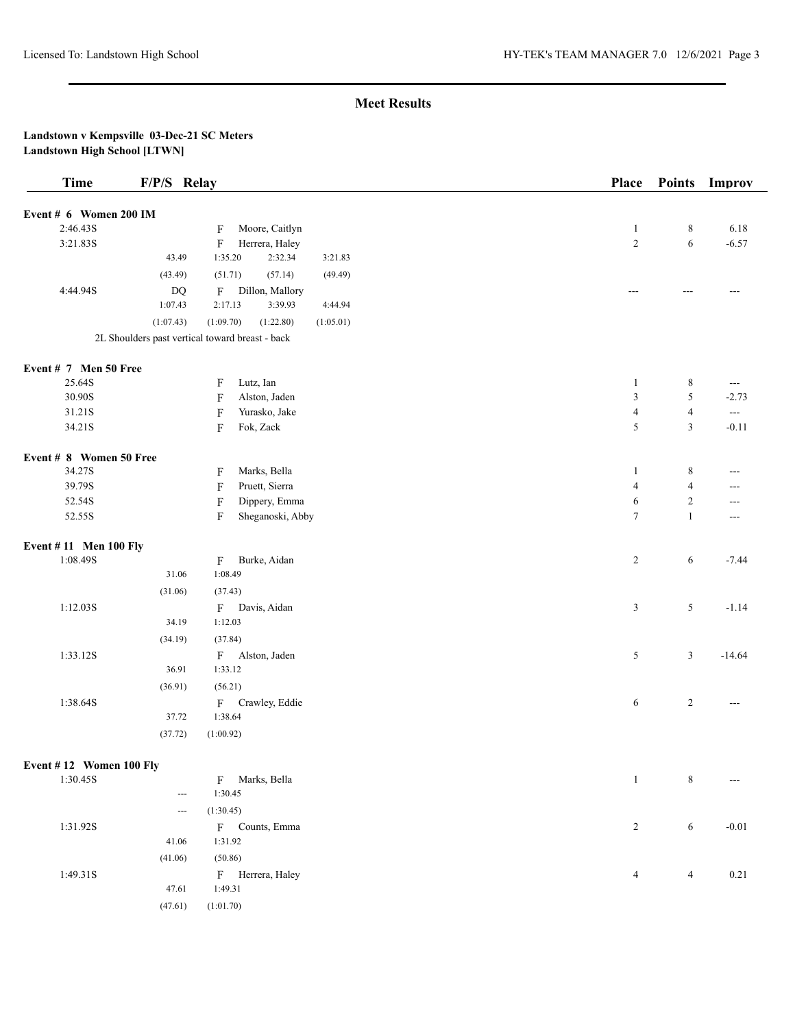| Event # 6 Women 200 IM<br>2:46.43S<br>Moore, Caitlyn<br>$\,$ 8 $\,$<br>6.18<br>$\mathbf{1}$<br>F<br>$\sqrt{2}$<br>$\sqrt{6}$<br>3:21.83S<br>$\boldsymbol{\mathrm{F}}$<br>Herrera, Haley<br>$-6.57$<br>1:35.20<br>2:32.34<br>43.49<br>3:21.83<br>(51.71)<br>(57.14)<br>(43.49)<br>(49.49)<br>4:44.94S<br>$\mathbf{D}\mathbf{Q}$<br>Dillon, Mallory<br>F<br>---<br>---<br>1:07.43<br>2:17.13<br>3:39.93<br>4:44.94<br>(1:07.43)<br>(1:09.70)<br>(1:22.80)<br>(1:05.01)<br>2L Shoulders past vertical toward breast - back<br>Event # 7 Men 50 Free<br>25.64S<br>$\,$ 8 $\,$<br>F<br>Lutz, Ian<br>$\mathbf{1}$<br>$\qquad \qquad -$<br>$\mathfrak z$<br>5<br>30.90S<br>$\mathbf F$<br>Alston, Jaden<br>$-2.73$<br>31.21S<br>Yurasko, Jake<br>$\overline{4}$<br>$\mathbf{F}$<br>$\overline{4}$<br>$-$<br>$\sqrt{5}$<br>$\mathfrak{Z}$<br>34.21S<br>F<br>Fok, Zack<br>$-0.11$<br>Event # 8 Women 50 Free<br>34.27S<br>Marks, Bella<br>$\,8\,$<br>$\mathbf{1}$<br>F<br>$---$<br>$\overline{4}$<br>39.79S<br>Pruett, Sierra<br>$\boldsymbol{\mathrm{F}}$<br>$\overline{4}$<br>---<br>$\sqrt{2}$<br>$\mathbf F$<br>Dippery, Emma<br>6<br>52.54S<br>---<br>$\mathbf{1}$<br>52.55S<br>$\mathbf F$<br>Sheganoski, Abby<br>$\tau$<br>---<br>Event #11 Men 100 Fly<br>1:08.49S<br>Burke, Aidan<br>$\overline{c}$<br>6<br>$-7.44$<br>F<br>1:08.49<br>31.06<br>(31.06)<br>(37.43)<br>1:12.03S<br>Davis, Aidan<br>$\mathfrak{Z}$<br>5<br>$-1.14$<br>$\mathbf F$<br>34.19<br>1:12.03<br>(37.84)<br>(34.19)<br>1:33.12S<br>5<br>$\mathfrak{Z}$<br>Alston, Jaden<br>$-14.64$<br>$\mathbf{F}$<br>36.91<br>1:33.12<br>(36.91)<br>(56.21)<br>1:38.64S<br>6<br>$\mathbf{2}$<br>Crawley, Eddie<br>$\mathbf{F}$<br>---<br>37.72<br>1:38.64<br>(37.72)<br>(1:00.92)<br>Event #12 Women 100 Fly<br>$\,8\,$<br>1:30.45S<br>F Marks, Bella<br>$\mathbf{1}$<br>---<br>1:30.45<br>---<br>(1:30.45)<br>---<br>1:31.92S<br>$\overline{c}$<br>6<br>$-0.01$<br>F Counts, Emma<br>1:31.92<br>41.06<br>(50.86)<br>(41.06)<br>1:49.31S<br>F Herrera, Haley<br>$\overline{4}$<br>0.21<br>$\overline{4}$<br>47.61<br>1:49.31<br>(47.61)<br>(1:01.70) | <b>Time</b> | F/P/S Relay | Place | <b>Points</b> | Improv |
|--------------------------------------------------------------------------------------------------------------------------------------------------------------------------------------------------------------------------------------------------------------------------------------------------------------------------------------------------------------------------------------------------------------------------------------------------------------------------------------------------------------------------------------------------------------------------------------------------------------------------------------------------------------------------------------------------------------------------------------------------------------------------------------------------------------------------------------------------------------------------------------------------------------------------------------------------------------------------------------------------------------------------------------------------------------------------------------------------------------------------------------------------------------------------------------------------------------------------------------------------------------------------------------------------------------------------------------------------------------------------------------------------------------------------------------------------------------------------------------------------------------------------------------------------------------------------------------------------------------------------------------------------------------------------------------------------------------------------------------------------------------------------------------------------------------------------------------------------------------------------------------------------------------------------------------------------------------------------------------------------------------------------------------------------------------------------------------------------------------|-------------|-------------|-------|---------------|--------|
|                                                                                                                                                                                                                                                                                                                                                                                                                                                                                                                                                                                                                                                                                                                                                                                                                                                                                                                                                                                                                                                                                                                                                                                                                                                                                                                                                                                                                                                                                                                                                                                                                                                                                                                                                                                                                                                                                                                                                                                                                                                                                                              |             |             |       |               |        |
|                                                                                                                                                                                                                                                                                                                                                                                                                                                                                                                                                                                                                                                                                                                                                                                                                                                                                                                                                                                                                                                                                                                                                                                                                                                                                                                                                                                                                                                                                                                                                                                                                                                                                                                                                                                                                                                                                                                                                                                                                                                                                                              |             |             |       |               |        |
|                                                                                                                                                                                                                                                                                                                                                                                                                                                                                                                                                                                                                                                                                                                                                                                                                                                                                                                                                                                                                                                                                                                                                                                                                                                                                                                                                                                                                                                                                                                                                                                                                                                                                                                                                                                                                                                                                                                                                                                                                                                                                                              |             |             |       |               |        |
|                                                                                                                                                                                                                                                                                                                                                                                                                                                                                                                                                                                                                                                                                                                                                                                                                                                                                                                                                                                                                                                                                                                                                                                                                                                                                                                                                                                                                                                                                                                                                                                                                                                                                                                                                                                                                                                                                                                                                                                                                                                                                                              |             |             |       |               |        |
|                                                                                                                                                                                                                                                                                                                                                                                                                                                                                                                                                                                                                                                                                                                                                                                                                                                                                                                                                                                                                                                                                                                                                                                                                                                                                                                                                                                                                                                                                                                                                                                                                                                                                                                                                                                                                                                                                                                                                                                                                                                                                                              |             |             |       |               |        |
|                                                                                                                                                                                                                                                                                                                                                                                                                                                                                                                                                                                                                                                                                                                                                                                                                                                                                                                                                                                                                                                                                                                                                                                                                                                                                                                                                                                                                                                                                                                                                                                                                                                                                                                                                                                                                                                                                                                                                                                                                                                                                                              |             |             |       |               |        |
|                                                                                                                                                                                                                                                                                                                                                                                                                                                                                                                                                                                                                                                                                                                                                                                                                                                                                                                                                                                                                                                                                                                                                                                                                                                                                                                                                                                                                                                                                                                                                                                                                                                                                                                                                                                                                                                                                                                                                                                                                                                                                                              |             |             |       |               |        |
|                                                                                                                                                                                                                                                                                                                                                                                                                                                                                                                                                                                                                                                                                                                                                                                                                                                                                                                                                                                                                                                                                                                                                                                                                                                                                                                                                                                                                                                                                                                                                                                                                                                                                                                                                                                                                                                                                                                                                                                                                                                                                                              |             |             |       |               |        |
|                                                                                                                                                                                                                                                                                                                                                                                                                                                                                                                                                                                                                                                                                                                                                                                                                                                                                                                                                                                                                                                                                                                                                                                                                                                                                                                                                                                                                                                                                                                                                                                                                                                                                                                                                                                                                                                                                                                                                                                                                                                                                                              |             |             |       |               |        |
|                                                                                                                                                                                                                                                                                                                                                                                                                                                                                                                                                                                                                                                                                                                                                                                                                                                                                                                                                                                                                                                                                                                                                                                                                                                                                                                                                                                                                                                                                                                                                                                                                                                                                                                                                                                                                                                                                                                                                                                                                                                                                                              |             |             |       |               |        |
|                                                                                                                                                                                                                                                                                                                                                                                                                                                                                                                                                                                                                                                                                                                                                                                                                                                                                                                                                                                                                                                                                                                                                                                                                                                                                                                                                                                                                                                                                                                                                                                                                                                                                                                                                                                                                                                                                                                                                                                                                                                                                                              |             |             |       |               |        |
|                                                                                                                                                                                                                                                                                                                                                                                                                                                                                                                                                                                                                                                                                                                                                                                                                                                                                                                                                                                                                                                                                                                                                                                                                                                                                                                                                                                                                                                                                                                                                                                                                                                                                                                                                                                                                                                                                                                                                                                                                                                                                                              |             |             |       |               |        |
|                                                                                                                                                                                                                                                                                                                                                                                                                                                                                                                                                                                                                                                                                                                                                                                                                                                                                                                                                                                                                                                                                                                                                                                                                                                                                                                                                                                                                                                                                                                                                                                                                                                                                                                                                                                                                                                                                                                                                                                                                                                                                                              |             |             |       |               |        |
|                                                                                                                                                                                                                                                                                                                                                                                                                                                                                                                                                                                                                                                                                                                                                                                                                                                                                                                                                                                                                                                                                                                                                                                                                                                                                                                                                                                                                                                                                                                                                                                                                                                                                                                                                                                                                                                                                                                                                                                                                                                                                                              |             |             |       |               |        |
|                                                                                                                                                                                                                                                                                                                                                                                                                                                                                                                                                                                                                                                                                                                                                                                                                                                                                                                                                                                                                                                                                                                                                                                                                                                                                                                                                                                                                                                                                                                                                                                                                                                                                                                                                                                                                                                                                                                                                                                                                                                                                                              |             |             |       |               |        |
|                                                                                                                                                                                                                                                                                                                                                                                                                                                                                                                                                                                                                                                                                                                                                                                                                                                                                                                                                                                                                                                                                                                                                                                                                                                                                                                                                                                                                                                                                                                                                                                                                                                                                                                                                                                                                                                                                                                                                                                                                                                                                                              |             |             |       |               |        |
|                                                                                                                                                                                                                                                                                                                                                                                                                                                                                                                                                                                                                                                                                                                                                                                                                                                                                                                                                                                                                                                                                                                                                                                                                                                                                                                                                                                                                                                                                                                                                                                                                                                                                                                                                                                                                                                                                                                                                                                                                                                                                                              |             |             |       |               |        |
|                                                                                                                                                                                                                                                                                                                                                                                                                                                                                                                                                                                                                                                                                                                                                                                                                                                                                                                                                                                                                                                                                                                                                                                                                                                                                                                                                                                                                                                                                                                                                                                                                                                                                                                                                                                                                                                                                                                                                                                                                                                                                                              |             |             |       |               |        |
|                                                                                                                                                                                                                                                                                                                                                                                                                                                                                                                                                                                                                                                                                                                                                                                                                                                                                                                                                                                                                                                                                                                                                                                                                                                                                                                                                                                                                                                                                                                                                                                                                                                                                                                                                                                                                                                                                                                                                                                                                                                                                                              |             |             |       |               |        |
|                                                                                                                                                                                                                                                                                                                                                                                                                                                                                                                                                                                                                                                                                                                                                                                                                                                                                                                                                                                                                                                                                                                                                                                                                                                                                                                                                                                                                                                                                                                                                                                                                                                                                                                                                                                                                                                                                                                                                                                                                                                                                                              |             |             |       |               |        |
|                                                                                                                                                                                                                                                                                                                                                                                                                                                                                                                                                                                                                                                                                                                                                                                                                                                                                                                                                                                                                                                                                                                                                                                                                                                                                                                                                                                                                                                                                                                                                                                                                                                                                                                                                                                                                                                                                                                                                                                                                                                                                                              |             |             |       |               |        |
|                                                                                                                                                                                                                                                                                                                                                                                                                                                                                                                                                                                                                                                                                                                                                                                                                                                                                                                                                                                                                                                                                                                                                                                                                                                                                                                                                                                                                                                                                                                                                                                                                                                                                                                                                                                                                                                                                                                                                                                                                                                                                                              |             |             |       |               |        |
|                                                                                                                                                                                                                                                                                                                                                                                                                                                                                                                                                                                                                                                                                                                                                                                                                                                                                                                                                                                                                                                                                                                                                                                                                                                                                                                                                                                                                                                                                                                                                                                                                                                                                                                                                                                                                                                                                                                                                                                                                                                                                                              |             |             |       |               |        |
|                                                                                                                                                                                                                                                                                                                                                                                                                                                                                                                                                                                                                                                                                                                                                                                                                                                                                                                                                                                                                                                                                                                                                                                                                                                                                                                                                                                                                                                                                                                                                                                                                                                                                                                                                                                                                                                                                                                                                                                                                                                                                                              |             |             |       |               |        |
|                                                                                                                                                                                                                                                                                                                                                                                                                                                                                                                                                                                                                                                                                                                                                                                                                                                                                                                                                                                                                                                                                                                                                                                                                                                                                                                                                                                                                                                                                                                                                                                                                                                                                                                                                                                                                                                                                                                                                                                                                                                                                                              |             |             |       |               |        |
|                                                                                                                                                                                                                                                                                                                                                                                                                                                                                                                                                                                                                                                                                                                                                                                                                                                                                                                                                                                                                                                                                                                                                                                                                                                                                                                                                                                                                                                                                                                                                                                                                                                                                                                                                                                                                                                                                                                                                                                                                                                                                                              |             |             |       |               |        |
|                                                                                                                                                                                                                                                                                                                                                                                                                                                                                                                                                                                                                                                                                                                                                                                                                                                                                                                                                                                                                                                                                                                                                                                                                                                                                                                                                                                                                                                                                                                                                                                                                                                                                                                                                                                                                                                                                                                                                                                                                                                                                                              |             |             |       |               |        |
|                                                                                                                                                                                                                                                                                                                                                                                                                                                                                                                                                                                                                                                                                                                                                                                                                                                                                                                                                                                                                                                                                                                                                                                                                                                                                                                                                                                                                                                                                                                                                                                                                                                                                                                                                                                                                                                                                                                                                                                                                                                                                                              |             |             |       |               |        |
|                                                                                                                                                                                                                                                                                                                                                                                                                                                                                                                                                                                                                                                                                                                                                                                                                                                                                                                                                                                                                                                                                                                                                                                                                                                                                                                                                                                                                                                                                                                                                                                                                                                                                                                                                                                                                                                                                                                                                                                                                                                                                                              |             |             |       |               |        |
|                                                                                                                                                                                                                                                                                                                                                                                                                                                                                                                                                                                                                                                                                                                                                                                                                                                                                                                                                                                                                                                                                                                                                                                                                                                                                                                                                                                                                                                                                                                                                                                                                                                                                                                                                                                                                                                                                                                                                                                                                                                                                                              |             |             |       |               |        |
|                                                                                                                                                                                                                                                                                                                                                                                                                                                                                                                                                                                                                                                                                                                                                                                                                                                                                                                                                                                                                                                                                                                                                                                                                                                                                                                                                                                                                                                                                                                                                                                                                                                                                                                                                                                                                                                                                                                                                                                                                                                                                                              |             |             |       |               |        |
|                                                                                                                                                                                                                                                                                                                                                                                                                                                                                                                                                                                                                                                                                                                                                                                                                                                                                                                                                                                                                                                                                                                                                                                                                                                                                                                                                                                                                                                                                                                                                                                                                                                                                                                                                                                                                                                                                                                                                                                                                                                                                                              |             |             |       |               |        |
|                                                                                                                                                                                                                                                                                                                                                                                                                                                                                                                                                                                                                                                                                                                                                                                                                                                                                                                                                                                                                                                                                                                                                                                                                                                                                                                                                                                                                                                                                                                                                                                                                                                                                                                                                                                                                                                                                                                                                                                                                                                                                                              |             |             |       |               |        |
|                                                                                                                                                                                                                                                                                                                                                                                                                                                                                                                                                                                                                                                                                                                                                                                                                                                                                                                                                                                                                                                                                                                                                                                                                                                                                                                                                                                                                                                                                                                                                                                                                                                                                                                                                                                                                                                                                                                                                                                                                                                                                                              |             |             |       |               |        |
|                                                                                                                                                                                                                                                                                                                                                                                                                                                                                                                                                                                                                                                                                                                                                                                                                                                                                                                                                                                                                                                                                                                                                                                                                                                                                                                                                                                                                                                                                                                                                                                                                                                                                                                                                                                                                                                                                                                                                                                                                                                                                                              |             |             |       |               |        |
|                                                                                                                                                                                                                                                                                                                                                                                                                                                                                                                                                                                                                                                                                                                                                                                                                                                                                                                                                                                                                                                                                                                                                                                                                                                                                                                                                                                                                                                                                                                                                                                                                                                                                                                                                                                                                                                                                                                                                                                                                                                                                                              |             |             |       |               |        |
|                                                                                                                                                                                                                                                                                                                                                                                                                                                                                                                                                                                                                                                                                                                                                                                                                                                                                                                                                                                                                                                                                                                                                                                                                                                                                                                                                                                                                                                                                                                                                                                                                                                                                                                                                                                                                                                                                                                                                                                                                                                                                                              |             |             |       |               |        |
|                                                                                                                                                                                                                                                                                                                                                                                                                                                                                                                                                                                                                                                                                                                                                                                                                                                                                                                                                                                                                                                                                                                                                                                                                                                                                                                                                                                                                                                                                                                                                                                                                                                                                                                                                                                                                                                                                                                                                                                                                                                                                                              |             |             |       |               |        |
|                                                                                                                                                                                                                                                                                                                                                                                                                                                                                                                                                                                                                                                                                                                                                                                                                                                                                                                                                                                                                                                                                                                                                                                                                                                                                                                                                                                                                                                                                                                                                                                                                                                                                                                                                                                                                                                                                                                                                                                                                                                                                                              |             |             |       |               |        |
|                                                                                                                                                                                                                                                                                                                                                                                                                                                                                                                                                                                                                                                                                                                                                                                                                                                                                                                                                                                                                                                                                                                                                                                                                                                                                                                                                                                                                                                                                                                                                                                                                                                                                                                                                                                                                                                                                                                                                                                                                                                                                                              |             |             |       |               |        |
|                                                                                                                                                                                                                                                                                                                                                                                                                                                                                                                                                                                                                                                                                                                                                                                                                                                                                                                                                                                                                                                                                                                                                                                                                                                                                                                                                                                                                                                                                                                                                                                                                                                                                                                                                                                                                                                                                                                                                                                                                                                                                                              |             |             |       |               |        |
|                                                                                                                                                                                                                                                                                                                                                                                                                                                                                                                                                                                                                                                                                                                                                                                                                                                                                                                                                                                                                                                                                                                                                                                                                                                                                                                                                                                                                                                                                                                                                                                                                                                                                                                                                                                                                                                                                                                                                                                                                                                                                                              |             |             |       |               |        |
|                                                                                                                                                                                                                                                                                                                                                                                                                                                                                                                                                                                                                                                                                                                                                                                                                                                                                                                                                                                                                                                                                                                                                                                                                                                                                                                                                                                                                                                                                                                                                                                                                                                                                                                                                                                                                                                                                                                                                                                                                                                                                                              |             |             |       |               |        |
|                                                                                                                                                                                                                                                                                                                                                                                                                                                                                                                                                                                                                                                                                                                                                                                                                                                                                                                                                                                                                                                                                                                                                                                                                                                                                                                                                                                                                                                                                                                                                                                                                                                                                                                                                                                                                                                                                                                                                                                                                                                                                                              |             |             |       |               |        |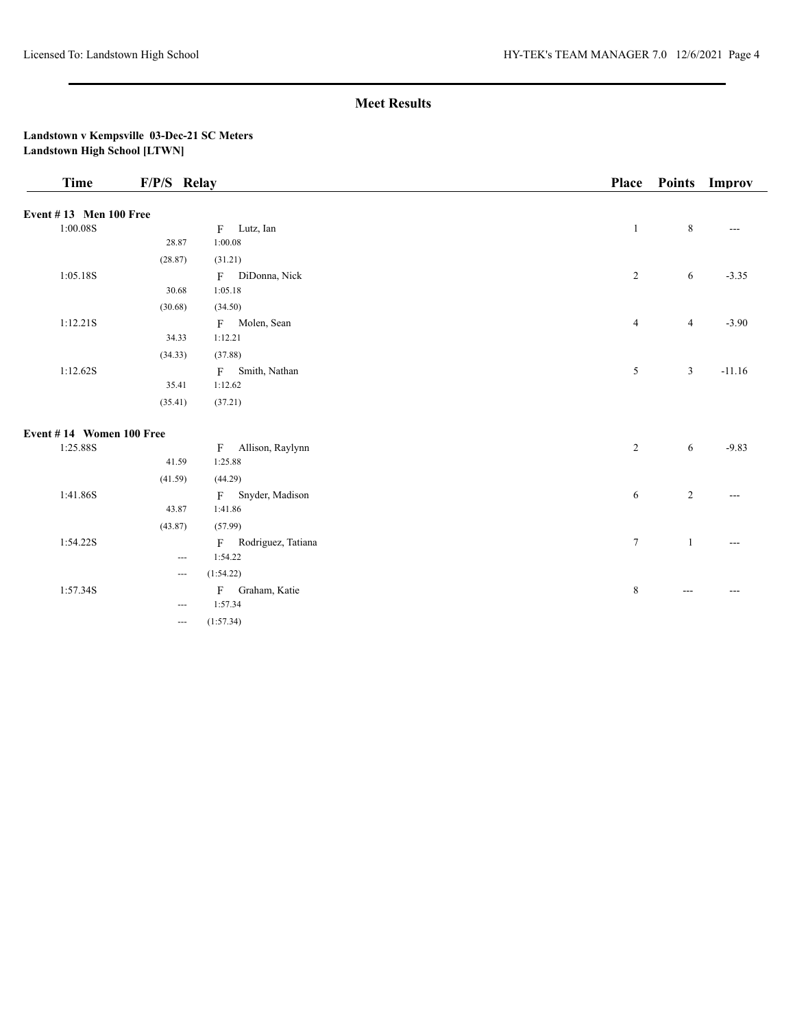| <b>Time</b>                   | F/P/S Relay                              |                                  | Place            |                | Points Improv |
|-------------------------------|------------------------------------------|----------------------------------|------------------|----------------|---------------|
| <b>Event #13 Men 100 Free</b> |                                          |                                  |                  |                |               |
| 1:00.08S                      |                                          | F Lutz, Ian                      | $\mathbf{1}$     | 8              | $---$         |
|                               | 28.87                                    | 1:00.08                          |                  |                |               |
|                               | (28.87)                                  | (31.21)                          |                  |                |               |
| 1:05.18S                      |                                          | DiDonna, Nick<br>$\mathbf{F}$    | $\overline{c}$   | 6              | $-3.35$       |
|                               | 30.68                                    | 1:05.18                          |                  |                |               |
|                               | (30.68)                                  | (34.50)                          |                  |                |               |
| 1:12.21S                      |                                          | F Molen, Sean                    | $\overline{4}$   | 4              | $-3.90$       |
|                               | 34.33                                    | 1:12.21                          |                  |                |               |
|                               | (34.33)                                  | (37.88)                          |                  |                |               |
| 1:12.62S                      |                                          | Smith, Nathan<br>F               | 5                | 3              | $-11.16$      |
|                               | 35.41                                    | 1:12.62                          |                  |                |               |
|                               | (35.41)                                  | (37.21)                          |                  |                |               |
| Event #14 Women 100 Free      |                                          |                                  |                  |                |               |
| 1:25.88S                      |                                          | Allison, Raylynn<br>$\mathbf{F}$ | $\overline{2}$   | 6              | $-9.83$       |
|                               | 41.59                                    | 1:25.88                          |                  |                |               |
|                               | (41.59)                                  | (44.29)                          |                  |                |               |
| 1:41.86S                      |                                          | F Snyder, Madison                | 6                | $\overline{2}$ | $---$         |
|                               | 43.87                                    | 1:41.86                          |                  |                |               |
|                               | (43.87)                                  | (57.99)                          |                  |                |               |
| 1:54.22S                      |                                          | F Rodriguez, Tatiana             | $\boldsymbol{7}$ | -1             | $---$         |
|                               | $\hspace{0.05cm} \ldots \hspace{0.05cm}$ | 1:54.22                          |                  |                |               |
|                               | $\overline{\phantom{a}}$                 | (1:54.22)                        |                  |                |               |
| 1:57.34S                      |                                          | F Graham, Katie                  | $\,$ 8 $\,$      | $---$          | $\frac{1}{2}$ |
|                               | $\cdots$                                 | 1:57.34                          |                  |                |               |
|                               | $\qquad \qquad -$                        | (1:57.34)                        |                  |                |               |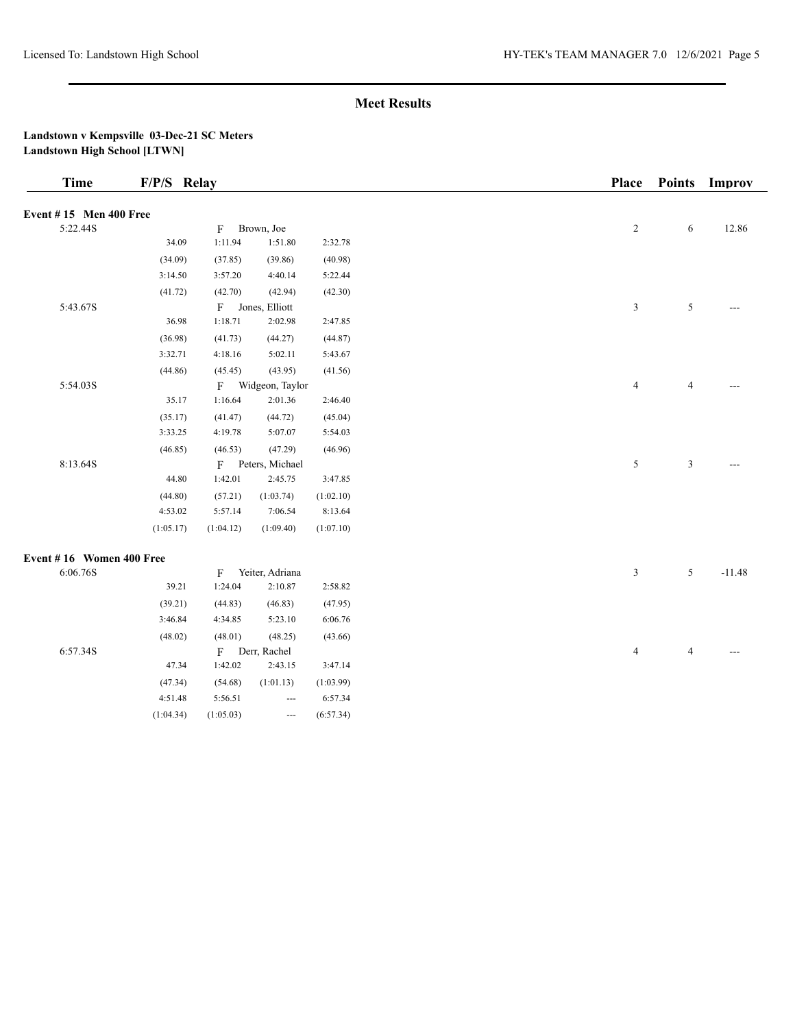| <b>Time</b>                   | F/P/S Relay |              |                   |           | <b>Place</b>     | <b>Points</b>  | Improv   |
|-------------------------------|-------------|--------------|-------------------|-----------|------------------|----------------|----------|
| <b>Event #15 Men 400 Free</b> |             |              |                   |           |                  |                |          |
| 5:22.44S                      |             | $\mathbf{F}$ | Brown, Joe        |           | $\boldsymbol{2}$ | 6              | 12.86    |
|                               | 34.09       | 1:11.94      | 1:51.80           | 2:32.78   |                  |                |          |
|                               | (34.09)     | (37.85)      | (39.86)           | (40.98)   |                  |                |          |
|                               | 3:14.50     | 3:57.20      | 4:40.14           | 5:22.44   |                  |                |          |
|                               | (41.72)     | (42.70)      | (42.94)           | (42.30)   |                  |                |          |
| 5:43.67S                      |             | F            | Jones, Elliott    |           | 3                | 5              |          |
|                               | 36.98       | 1:18.71      | 2:02.98           | 2:47.85   |                  |                |          |
|                               | (36.98)     | (41.73)      | (44.27)           | (44.87)   |                  |                |          |
|                               | 3:32.71     | 4:18.16      | 5:02.11           | 5:43.67   |                  |                |          |
|                               | (44.86)     | (45.45)      | (43.95)           | (41.56)   |                  |                |          |
| 5:54.03S                      |             |              | F Widgeon, Taylor |           | $\overline{4}$   | $\overline{4}$ |          |
|                               | 35.17       | 1:16.64      | 2:01.36           | 2:46.40   |                  |                |          |
|                               | (35.17)     | (41.47)      | (44.72)           | (45.04)   |                  |                |          |
|                               | 3:33.25     | 4:19.78      | 5:07.07           | 5:54.03   |                  |                |          |
|                               | (46.85)     | (46.53)      | (47.29)           | (46.96)   |                  |                |          |
| 8:13.64S                      |             | $\mathbf{F}$ | Peters, Michael   |           | 5                | 3              |          |
|                               | 44.80       | 1:42.01      | 2:45.75           | 3:47.85   |                  |                |          |
|                               | (44.80)     | (57.21)      | (1:03.74)         | (1:02.10) |                  |                |          |
|                               | 4:53.02     | 5:57.14      | 7:06.54           | 8:13.64   |                  |                |          |
|                               | (1:05.17)   | (1:04.12)    | (1:09.40)         | (1:07.10) |                  |                |          |
| Event #16 Women 400 Free      |             |              |                   |           |                  |                |          |
| 6:06.76S                      |             | $\mathbf{F}$ | Yeiter, Adriana   |           | 3                | 5              | $-11.48$ |
|                               | 39.21       | 1:24.04      | 2:10.87           | 2:58.82   |                  |                |          |
|                               | (39.21)     | (44.83)      | (46.83)           | (47.95)   |                  |                |          |
|                               | 3:46.84     | 4:34.85      | 5:23.10           | 6:06.76   |                  |                |          |
|                               | (48.02)     | (48.01)      | (48.25)           | (43.66)   |                  |                |          |
| 6:57.34S                      |             | $\mathbf{F}$ | Derr, Rachel      |           | $\overline{4}$   | $\overline{4}$ |          |
|                               | 47.34       | 1:42.02      | 2:43.15           | 3:47.14   |                  |                |          |
|                               | (47.34)     | (54.68)      | (1:01.13)         | (1:03.99) |                  |                |          |
|                               | 4:51.48     | 5:56.51      | ---               | 6:57.34   |                  |                |          |
|                               | (1:04.34)   | (1:05.03)    | ---               | (6:57.34) |                  |                |          |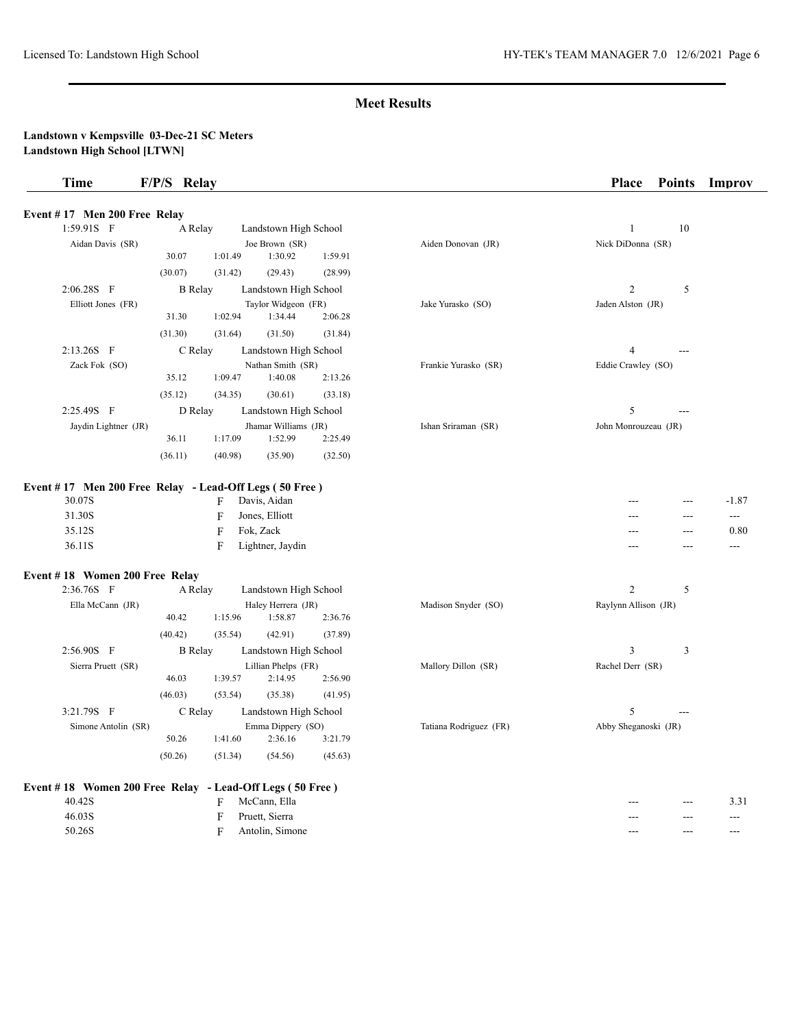# **Landstown v Kempsville 03-Dec-21 SC Meters**

| <b>Time</b>                                            | F/P/S Relay    |              |                           |         |                      | <b>Place</b>         | <b>Points</b> | Improv   |
|--------------------------------------------------------|----------------|--------------|---------------------------|---------|----------------------|----------------------|---------------|----------|
| Event #17 Men 200 Free Relay                           |                |              |                           |         |                      |                      |               |          |
| 1:59.91S F                                             | A Relay        |              | Landstown High School     |         |                      | $\mathbf{1}$         | 10            |          |
| Aidan Davis (SR)                                       | 30.07          | 1:01.49      | Joe Brown (SR)<br>1:30.92 | 1:59.91 | Aiden Donovan (JR)   | Nick DiDonna (SR)    |               |          |
|                                                        | (30.07)        | (31.42)      | (29.43)                   | (28.99) |                      |                      |               |          |
| $2:06.28S$ F                                           | <b>B</b> Relay |              | Landstown High School     |         |                      | $\overline{2}$       | 5             |          |
| Elliott Jones (FR)                                     |                |              | Taylor Widgeon (FR)       |         | Jake Yurasko (SO)    | Jaden Alston (JR)    |               |          |
|                                                        | 31.30          | 1:02.94      | 1:34.44                   | 2:06.28 |                      |                      |               |          |
|                                                        | (31.30)        | (31.64)      | (31.50)                   | (31.84) |                      |                      |               |          |
| 2:13.26S F                                             | C Relay        |              | Landstown High School     |         |                      | 4                    |               |          |
| Zack Fok (SO)                                          |                |              | Nathan Smith (SR)         |         | Frankie Yurasko (SR) | Eddie Crawley (SO)   |               |          |
|                                                        | 35.12          | 1:09.47      | 1:40.08                   | 2:13.26 |                      |                      |               |          |
|                                                        | (35.12)        | (34.35)      | (30.61)                   | (33.18) |                      |                      |               |          |
| 2:25.49S F                                             | D Relay        |              | Landstown High School     |         |                      | 5                    | $---$         |          |
| Jaydin Lightner (JR)                                   |                |              | Jhamar Williams (JR)      |         | Ishan Sriraman (SR)  | John Monrouzeau (JR) |               |          |
|                                                        | 36.11          | 1:17.09      | 1:52.99                   | 2:25.49 |                      |                      |               |          |
|                                                        | (36.11)        | (40.98)      | (35.90)                   | (32.50) |                      |                      |               |          |
| Event #17 Men 200 Free Relay - Lead-Off Legs (50 Free) |                |              |                           |         |                      |                      |               |          |
| 30.07S                                                 |                | F            | Davis, Aidan              |         |                      | ---                  |               | $-1.87$  |
| 31.30S                                                 |                | F            | Jones, Elliott            |         |                      | ---                  | ---           | $\cdots$ |
| 35.12S                                                 |                | F            | Fok, Zack                 |         |                      | $- - -$              | ---           | 0.80     |
| 36.11S                                                 |                | $\mathbf{F}$ | Lightner, Jaydin          |         |                      | $---$                | ---           | $---$    |

| Ella McCann (JR)    |                |         | Haley Herrera (JR)    |         | Madison Snyder (SO)    | Raylynn Allison (JR) |
|---------------------|----------------|---------|-----------------------|---------|------------------------|----------------------|
|                     | 40.42          | 1:15.96 | 1:58.87               | 2:36.76 |                        |                      |
|                     | (40.42)        | (35.54) | (42.91)               | (37.89) |                        |                      |
| 2:56.90S<br>-F      | <b>B</b> Relay |         | Landstown High School |         |                        | 3<br>3               |
| Sierra Pruett (SR)  |                |         | Lillian Phelps (FR)   |         | Mallory Dillon (SR)    | Rachel Derr (SR)     |
|                     | 46.03          | 1:39.57 | 2:14.95               | 2:56.90 |                        |                      |
|                     | (46.03)        | (53.54) | (35.38)               | (41.95) |                        |                      |
| 3:21.79S F          | C Relay        |         | Landstown High School |         |                        | 5<br>$---$           |
| Simone Antolin (SR) |                |         | Emma Dippery (SO)     |         | Tatiana Rodriguez (FR) | Abby Sheganoski (JR) |
|                     | 50.26          | 1:41.60 | 2:36.16               | 3:21.79 |                        |                      |
|                     | (50.26)        | (51.34) | (54.56)               | (45.63) |                        |                      |
|                     |                |         |                       |         |                        |                      |

| Sierra Pruett (SR)                                 |         |         | Lillian Phelps (FR)   |         | Mallory Dillon (SR)    | Rachel Derr (SR)     |  |  |
|----------------------------------------------------|---------|---------|-----------------------|---------|------------------------|----------------------|--|--|
|                                                    | 46.03   | 1:39.57 | 2:14.95               | 2:56.90 |                        |                      |  |  |
|                                                    | (46.03) | (53.54) | (35.38)               | (41.95) |                        |                      |  |  |
| 3:21.79S F                                         | C Relay |         | Landstown High School |         |                        | $---$                |  |  |
| Simone Antolin (SR)                                |         |         | Emma Dippery (SO)     |         | Tatiana Rodriguez (FR) | Abby Sheganoski (JR) |  |  |
|                                                    | 50.26   | 1:41.60 | 2:36.16               | 3:21.79 |                        |                      |  |  |
|                                                    | (50.26) | (51.34) | (54.56)               | (45.63) |                        |                      |  |  |
|                                                    |         |         |                       |         |                        |                      |  |  |
| :18 Women 200 Free Relay - Lead-Off Legs (50 Free) |         |         |                       |         |                        |                      |  |  |

| Event #18 Women 200 Free Relay - Lead-Off Legs (50 Free) |                |         |         |  |
|----------------------------------------------------------|----------------|---------|---------|--|
| 40.42S                                                   | F McCann, Ella | $- - -$ | $- - -$ |  |

| 46.03S | F. | Pruett, Sierra    | --- | ---     | $- - -$ |
|--------|----|-------------------|-----|---------|---------|
| 50.26S |    | F Antolin, Simone | --- | $- - -$ | $- - -$ |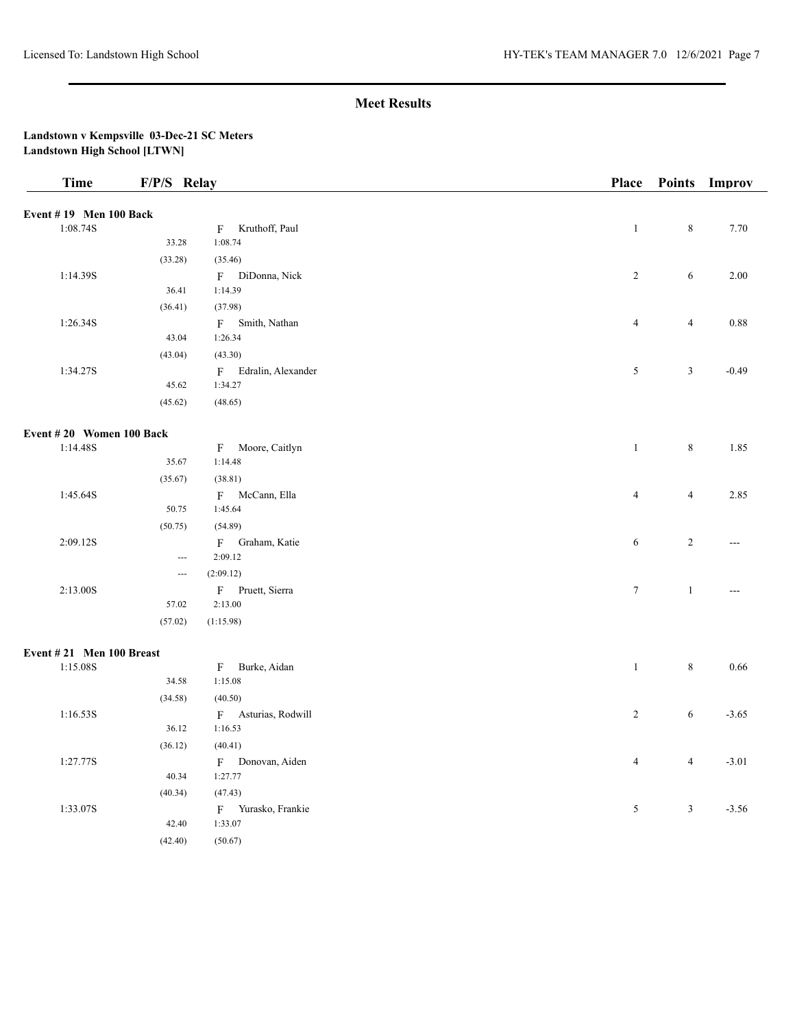| <b>Time</b>              | F/P/S Relay              |                      | <b>Place</b>   |                | Points Improv  |
|--------------------------|--------------------------|----------------------|----------------|----------------|----------------|
| Event #19 Men 100 Back   |                          |                      |                |                |                |
| 1:08.74S                 |                          | F Kruthoff, Paul     | $\mathbf{1}$   | $\,8\,$        | 7.70           |
|                          | 33.28                    | 1:08.74              |                |                |                |
|                          | (33.28)                  | (35.46)              |                |                |                |
| 1:14.39S                 |                          | F DiDonna, Nick      | $\overline{2}$ | 6              | 2.00           |
|                          | 36.41                    | 1:14.39              |                |                |                |
|                          | (36.41)                  | (37.98)              |                |                |                |
| 1:26.34S                 |                          | F Smith, Nathan      | $\overline{4}$ | $\overline{4}$ | 0.88           |
|                          | 43.04                    | 1:26.34              |                |                |                |
|                          | (43.04)                  | (43.30)              |                |                |                |
| 1:34.27S                 |                          | F Edralin, Alexander | 5              | 3              | $-0.49$        |
|                          | 45.62                    | 1:34.27              |                |                |                |
|                          | (45.62)                  | (48.65)              |                |                |                |
| Event #20 Women 100 Back |                          |                      |                |                |                |
| 1:14.48S                 |                          | F Moore, Caitlyn     | $\mathbf{1}$   | $\,8\,$        | 1.85           |
|                          | 35.67                    | 1:14.48              |                |                |                |
|                          | (35.67)                  | (38.81)              |                |                |                |
| 1:45.64S                 |                          | F McCann, Ella       | $\overline{4}$ | $\overline{4}$ | 2.85           |
|                          | 50.75                    | 1:45.64              |                |                |                |
|                          | (50.75)                  | (54.89)              |                |                |                |
| 2:09.12S                 |                          | F Graham, Katie      | $\sqrt{6}$     | $\sqrt{2}$     | $\overline{a}$ |
|                          | $\hspace{0.05cm} \ldots$ | 2:09.12              |                |                |                |
|                          | $\hspace{0.05cm} \ldots$ | (2:09.12)            |                |                |                |
| 2:13.00S                 |                          | F Pruett, Sierra     | $\tau$         | $\mathbf{1}$   | $\overline{a}$ |
|                          | 57.02                    | 2:13.00              |                |                |                |
|                          | (57.02)                  | (1:15.98)            |                |                |                |
| Event #21 Men 100 Breast |                          |                      |                |                |                |
| 1:15.08S                 |                          | F Burke, Aidan       | $\mathbf{1}$   | $\,8\,$        | 0.66           |
|                          | 34.58                    | 1:15.08              |                |                |                |
|                          | (34.58)                  | (40.50)              |                |                |                |
| 1:16.53S                 |                          | F Asturias, Rodwill  | $\overline{2}$ | 6              | $-3.65$        |
|                          | 36.12                    | 1:16.53              |                |                |                |
|                          | (36.12)                  | (40.41)              |                |                |                |
| 1:27.77S                 |                          | F Donovan, Aiden     | $\overline{4}$ | $\overline{4}$ | $-3.01$        |
|                          | 40.34                    | 1:27.77              |                |                |                |
|                          | (40.34)                  | (47.43)              |                |                |                |
| 1:33.07S                 |                          | F Yurasko, Frankie   | 5              | $\mathfrak{Z}$ | $-3.56$        |
|                          | 42.40                    | 1:33.07              |                |                |                |
|                          | (42.40)                  | (50.67)              |                |                |                |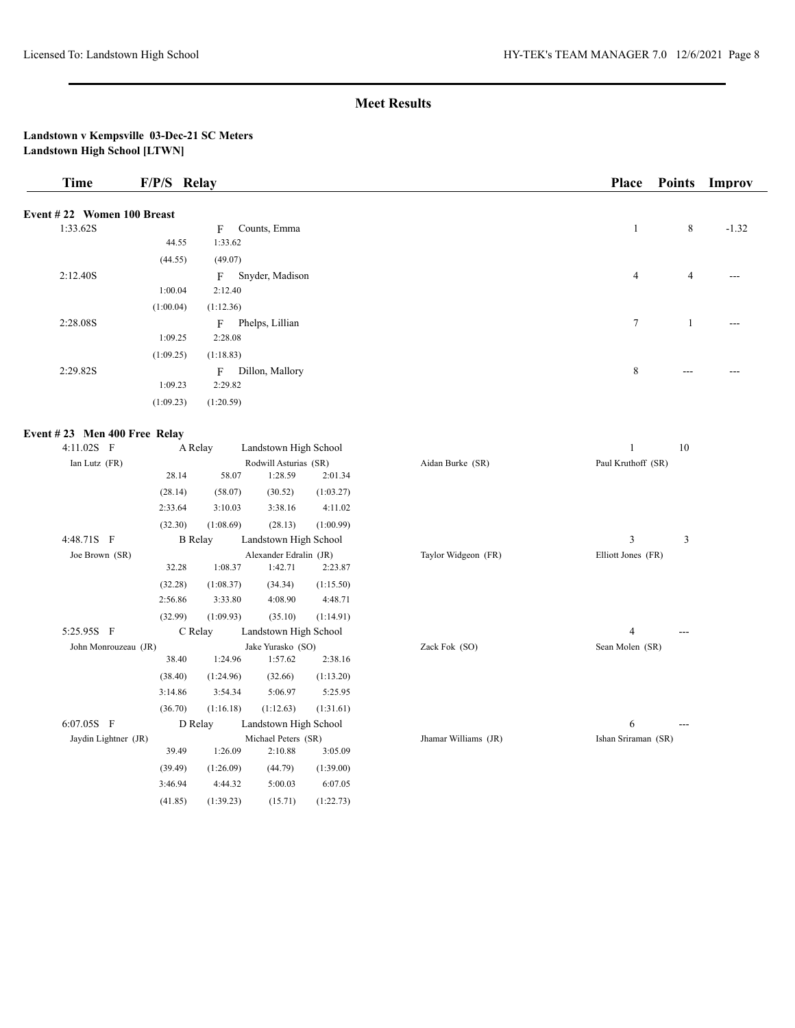| <b>Time</b>                  | F/P/S Relay |                                  |                                  |           |                      | <b>Place</b>        | <b>Points</b> | Improv  |
|------------------------------|-------------|----------------------------------|----------------------------------|-----------|----------------------|---------------------|---------------|---------|
| Event #22 Women 100 Breast   |             |                                  |                                  |           |                      |                     |               |         |
| 1:33.62S                     |             | F                                | Counts, Emma                     |           |                      | $\mathbf{1}$        | 8             | $-1.32$ |
|                              | 44.55       | 1:33.62                          |                                  |           |                      |                     |               |         |
|                              | (44.55)     | (49.07)                          |                                  |           |                      |                     |               |         |
| 2:12.40S                     |             |                                  | F Snyder, Madison                |           |                      | 4                   | 4             | ---     |
|                              | 1:00.04     | 2:12.40                          |                                  |           |                      |                     |               |         |
|                              | (1:00.04)   | (1:12.36)                        |                                  |           |                      |                     |               |         |
| 2:28.08S                     |             |                                  | F Phelps, Lillian                |           |                      | 7                   | $\mathbf{1}$  |         |
|                              | 1:09.25     | 2:28.08                          |                                  |           |                      |                     |               |         |
|                              | (1:09.25)   | (1:18.83)                        |                                  |           |                      |                     |               |         |
| 2:29.82S                     |             |                                  | F Dillon, Mallory                |           |                      | $\,8\,$             | $---$         |         |
|                              | 1:09.23     | 2:29.82                          |                                  |           |                      |                     |               |         |
|                              | (1:09.23)   | (1:20.59)                        |                                  |           |                      |                     |               |         |
| Event #23 Men 400 Free Relay |             |                                  |                                  |           |                      |                     |               |         |
| 4:11.02S F                   |             | A Relay                          | Landstown High School            |           |                      | $\mathbf{1}$        | 10            |         |
| Ian Lutz (FR)                |             |                                  | Rodwill Asturias (SR)            |           | Aidan Burke (SR)     | Paul Kruthoff (SR)  |               |         |
|                              | 28.14       | 58.07                            | 1:28.59                          | 2:01.34   |                      |                     |               |         |
|                              | (28.14)     | (58.07)                          | (30.52)                          | (1:03.27) |                      |                     |               |         |
|                              | 2:33.64     | 3:10.03                          | 3:38.16                          | 4:11.02   |                      |                     |               |         |
| 4:48.71S F                   | (32.30)     | (1:08.69)<br><b>B</b> Relay      | (28.13)<br>Landstown High School | (1:00.99) |                      | 3                   | 3             |         |
| Joe Brown (SR)               |             |                                  | Alexander Edralin (JR)           |           | Taylor Widgeon (FR)  | Elliott Jones (FR)  |               |         |
|                              | 32.28       | 1:08.37                          | 1:42.71                          | 2:23.87   |                      |                     |               |         |
|                              | (32.28)     | (1:08.37)                        | (34.34)                          | (1:15.50) |                      |                     |               |         |
|                              | 2:56.86     | 3:33.80                          | 4:08.90                          | 4:48.71   |                      |                     |               |         |
|                              | (32.99)     | (1:09.93)                        | (35.10)                          | (1:14.91) |                      |                     |               |         |
| 5:25.95S F                   |             | C Relay                          | Landstown High School            |           |                      | 4                   | ---           |         |
| John Monrouzeau (JR)         |             |                                  | Jake Yurasko (SO)                |           | Zack Fok (SO)        | Sean Molen (SR)     |               |         |
|                              | 38.40       | 1:24.96                          | 1:57.62                          | 2:38.16   |                      |                     |               |         |
|                              | (38.40)     | (1:24.96)                        | (32.66)                          | (1:13.20) |                      |                     |               |         |
|                              | 3:14.86     | 3:54.34                          | 5:06.97                          | 5:25.95   |                      |                     |               |         |
|                              | (36.70)     | (1:16.18)                        | (1:12.63)                        | (1:31.61) |                      |                     |               |         |
| 6:07.05S F                   |             | D Relay<br>Landstown High School |                                  |           |                      | 6                   | ---           |         |
| Jaydin Lightner (JR)         | 39.49       | 1:26.09                          | Michael Peters (SR)<br>2:10.88   | 3:05.09   | Jhamar Williams (JR) | Ishan Sriraman (SR) |               |         |
|                              | (39.49)     | (1:26.09)                        | (44.79)                          | (1:39.00) |                      |                     |               |         |
|                              | 3:46.94     | 4:44.32                          | 5:00.03                          | 6:07.05   |                      |                     |               |         |
|                              | (41.85)     | (1:39.23)                        | (15.71)                          | (1:22.73) |                      |                     |               |         |
|                              |             |                                  |                                  |           |                      |                     |               |         |